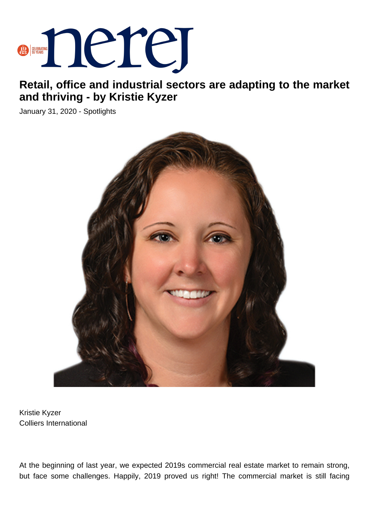

## **Retail, office and industrial sectors are adapting to the market and thriving - by Kristie Kyzer**

January 31, 2020 - Spotlights



Kristie Kyzer Colliers International

At the beginning of last year, we expected 2019s commercial real estate market to remain strong, but face some challenges. Happily, 2019 proved us right! The commercial market is still facing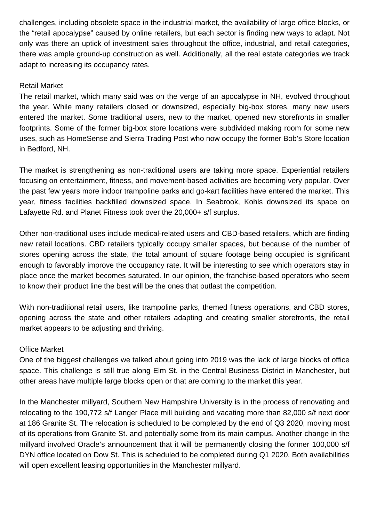challenges, including obsolete space in the industrial market, the availability of large office blocks, or the "retail apocalypse" caused by online retailers, but each sector is finding new ways to adapt. Not only was there an uptick of investment sales throughout the office, industrial, and retail categories, there was ample ground-up construction as well. Additionally, all the real estate categories we track adapt to increasing its occupancy rates.

## Retail Market

The retail market, which many said was on the verge of an apocalypse in NH, evolved throughout the year. While many retailers closed or downsized, especially big-box stores, many new users entered the market. Some traditional users, new to the market, opened new storefronts in smaller footprints. Some of the former big-box store locations were subdivided making room for some new uses, such as HomeSense and Sierra Trading Post who now occupy the former Bob's Store location in Bedford, NH.

The market is strengthening as non-traditional users are taking more space. Experiential retailers focusing on entertainment, fitness, and movement-based activities are becoming very popular. Over the past few years more indoor trampoline parks and go-kart facilities have entered the market. This year, fitness facilities backfilled downsized space. In Seabrook, Kohls downsized its space on Lafayette Rd. and Planet Fitness took over the 20,000+ s/f surplus.

Other non-traditional uses include medical-related users and CBD-based retailers, which are finding new retail locations. CBD retailers typically occupy smaller spaces, but because of the number of stores opening across the state, the total amount of square footage being occupied is significant enough to favorably improve the occupancy rate. It will be interesting to see which operators stay in place once the market becomes saturated. In our opinion, the franchise-based operators who seem to know their product line the best will be the ones that outlast the competition.

With non-traditional retail users, like trampoline parks, themed fitness operations, and CBD stores, opening across the state and other retailers adapting and creating smaller storefronts, the retail market appears to be adjusting and thriving.

## Office Market

One of the biggest challenges we talked about going into 2019 was the lack of large blocks of office space. This challenge is still true along Elm St. in the Central Business District in Manchester, but other areas have multiple large blocks open or that are coming to the market this year.

In the Manchester millyard, Southern New Hampshire University is in the process of renovating and relocating to the 190,772 s/f Langer Place mill building and vacating more than 82,000 s/f next door at 186 Granite St. The relocation is scheduled to be completed by the end of Q3 2020, moving most of its operations from Granite St. and potentially some from its main campus. Another change in the millyard involved Oracle's announcement that it will be permanently closing the former 100,000 s/f DYN office located on Dow St. This is scheduled to be completed during Q1 2020. Both availabilities will open excellent leasing opportunities in the Manchester millyard.